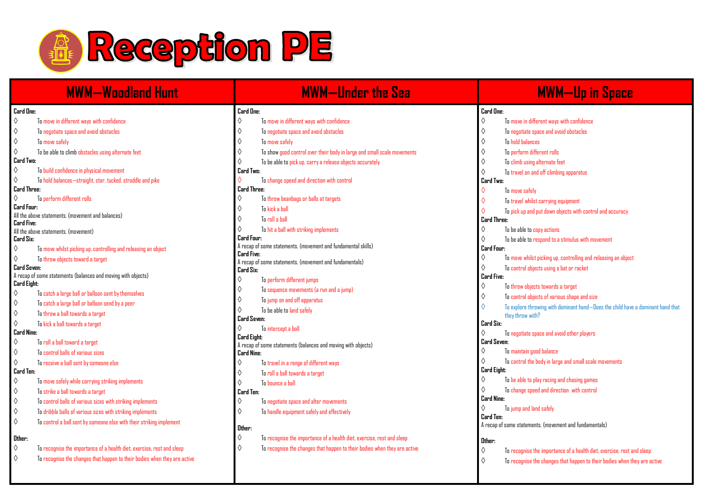

| <b>MWM-Woodland Hunt</b> |                                                                           |                    | <b>MWM-Under the Sea</b>                                                  |                  | <b>MWM-Up in Space</b>                                                          |  |  |
|--------------------------|---------------------------------------------------------------------------|--------------------|---------------------------------------------------------------------------|------------------|---------------------------------------------------------------------------------|--|--|
| Card One:                |                                                                           | Card One:          |                                                                           | Card One:        |                                                                                 |  |  |
| ♦                        | To move in different ways with confidence                                 | $\Diamond$         | To move in different ways with confidence                                 | ♦                | To move in different ways with confidence                                       |  |  |
| ♦                        | To negotiate space and avoid obstacles                                    | ♦                  | To negotiate space and avoid obstacles                                    | ♦                | To negotiate space and avoid obstacles                                          |  |  |
| ♦                        | To move safely                                                            | ♦                  | To move safely                                                            | $\Diamond$       | <b>To hold halances</b>                                                         |  |  |
| $\Diamond$               | To be able to climb obstacles using alternate feet                        | ♦                  | To show good control over their body in large and small scale movements   | ♦                | To perform different rolls                                                      |  |  |
| Card Two:                |                                                                           | $\Diamond$         | To be able to pick up, carry a release objects accurately                 | ♦                | To climb using alternate feet                                                   |  |  |
| ♦                        | To build confidence in physical movement                                  | Card Two:          |                                                                           | ♦                | To travel on and off climbing apparatus                                         |  |  |
| $\Diamond$               | To hold balances-straight, star, tucked, straddle and pike                |                    | To change speed and direction with control                                | Card Two:        |                                                                                 |  |  |
| Card Three:              |                                                                           | Card Three:        |                                                                           | $\Diamond$       | To move safely                                                                  |  |  |
| ♦                        | To perform different rolls                                                | ♦                  | To throw beanbags or balls at targets                                     | $\Diamond$       | To travel whilst carrying equipment                                             |  |  |
| Card Four:               |                                                                           | ♦                  | To kick a ball                                                            |                  | To pick up and put down objects with control and accuracy                       |  |  |
| Card Five:               | All the above statements. (movement and balances)                         | ♦                  | To coll a hall                                                            | Card Three:      |                                                                                 |  |  |
|                          | All the above statements. (movement)                                      |                    | To hit a ball with striking implements                                    | ♦                | To be able to copy actions                                                      |  |  |
| Card Six:                |                                                                           | Card Four:         |                                                                           | ♦                | To be able to respond to a stimulus with movement                               |  |  |
| ♦                        | To move whilst picking up, controlling and releasing an object            |                    | A recap of some statements. (movement and fundamental skills)             | Card Four:       |                                                                                 |  |  |
| ♦                        | To throw objects toward a target                                          | Card Five:         | A recap of some statements. (movement and fundamentals)                   | ♦                | To move whilst picking up, controlling and releasing an object                  |  |  |
| Card Seven:              |                                                                           | Card Six:          |                                                                           | ♦                | To control objects using a bat or racket                                        |  |  |
|                          | A recap of some statements (balances and moving with objects)             | ♦                  | To perform different jumps                                                | Card Five:       |                                                                                 |  |  |
| Card Eight:              |                                                                           | ♦                  | To sequence movements (a run and a jump)                                  | ♦                | To throw objects towards a target                                               |  |  |
| $\Diamond$               | To catch a large ball or balloon sent by themselves                       | ♦                  | To jump on and off apparatus                                              | ♦                | To control objects of various shape and size                                    |  |  |
| ♦                        | To catch a large ball or balloon send by a peer                           | ♦                  | To be able to land safely                                                 | ♦                | To explore throwing with dominant hand-Does the child have a dominant hand that |  |  |
| $\Diamond$               | To throw a ball towards a target                                          | Card Seven:        |                                                                           |                  | they throw with?                                                                |  |  |
| $\Diamond$               | To kick a ball towards a target                                           |                    | To intercept a boll                                                       | Card Six:        |                                                                                 |  |  |
| Card Nine:               |                                                                           | <b>Card Eight:</b> |                                                                           | ♦                | To negotiate space and avoid other players                                      |  |  |
| $\Diamond$               | To roll a ball toward a target                                            |                    | A recap of some statements (balances and moving with objects)             | Card Seven:      |                                                                                 |  |  |
| ♦                        | To control balls of various sizes                                         | <b>Card Nine:</b>  |                                                                           | ♦                | To maintain good balance                                                        |  |  |
| $\Diamond$               | To receive a ball sent by someone else                                    | ♦                  | To travel in a range of different ways                                    | ♦                | To control the body in large and small scale movements                          |  |  |
| Card Ten:                |                                                                           | ♦                  | To roll a ball towards a target                                           | Card Eight:<br>♦ |                                                                                 |  |  |
| ♦                        | To move safely while carrying striking implements                         | $\Diamond$         | To bounce a ball                                                          |                  | To be able to play racing and chasing games                                     |  |  |
| ♦                        | To strike a ball towards a target                                         | Card Ten:          |                                                                           | ♦<br>Card Nine:  | To change speed and direction with control                                      |  |  |
| ♦                        | To control balls of various sizes with striking implements                | ♦                  | To negotiate space and alter movements                                    | ♦                | To jump and land safely                                                         |  |  |
| $\Diamond$               | To dribble balls of various sizes with striking implements                | ♦                  | To handle equipment safely and effectively                                | Card Ten:        |                                                                                 |  |  |
| $\Diamond$               | To control a ball sent by someone else with their striking implement      |                    |                                                                           |                  | A recap of some statements. (movement and fundamentals)                         |  |  |
|                          |                                                                           | Other:<br>♦        | To recognise the importance of a health diet, exercise, rest and sleep    |                  |                                                                                 |  |  |
| Other:                   |                                                                           |                    |                                                                           | Other:           |                                                                                 |  |  |
| ♦                        | To recognise the importance of a health diet, exercise, rest and sleep    | ♦                  | To recognise the changes that happen to their bodies when they are active | ♦                | To recognise the importance of a health diet, exercise, rest and sleep          |  |  |
| ♦                        | To recognise the changes that happen to their bodies when they are active |                    |                                                                           | $\Diamond$       | To recognise the changes that happen to their bodies when they are active       |  |  |
|                          |                                                                           |                    |                                                                           |                  |                                                                                 |  |  |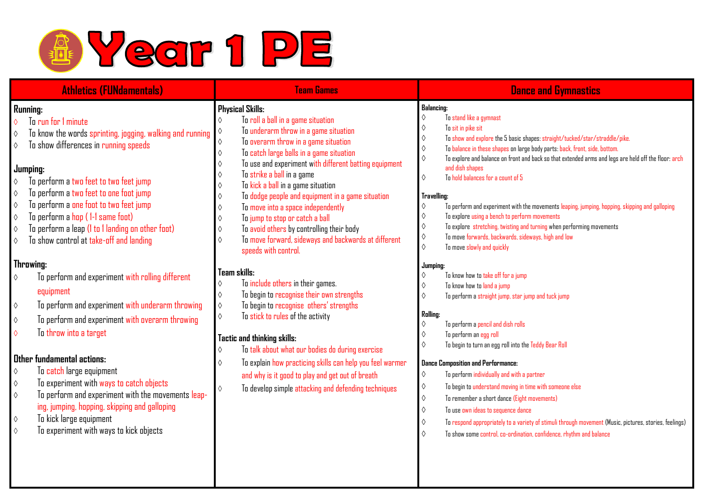

| <b>Athletics (FUNdamentals)</b>                                                                                                                                                                                                                                                                                                                                                                                                                                                                                                                                                                                                                                                                                                                                                                                                                                                                                                                                                                                                                                                                 | <b>Team Games</b>                                                                                                                                                                                                                                                                                                                                                                                                                                                                                                                                                                                                                                                                                                                                                                                                                                                                                                                                                                                                                                                                                                    | <b>Dance and Gymnastics</b>                                                                                                                                                                                                                                                                                                                                                                                                                                                                                                                                                                                                                                                                                                                                                                                                                                                                                                                                                                                                                                                                                                                                                                                                                                                                                                                                                                                                                                                                                                                                    |
|-------------------------------------------------------------------------------------------------------------------------------------------------------------------------------------------------------------------------------------------------------------------------------------------------------------------------------------------------------------------------------------------------------------------------------------------------------------------------------------------------------------------------------------------------------------------------------------------------------------------------------------------------------------------------------------------------------------------------------------------------------------------------------------------------------------------------------------------------------------------------------------------------------------------------------------------------------------------------------------------------------------------------------------------------------------------------------------------------|----------------------------------------------------------------------------------------------------------------------------------------------------------------------------------------------------------------------------------------------------------------------------------------------------------------------------------------------------------------------------------------------------------------------------------------------------------------------------------------------------------------------------------------------------------------------------------------------------------------------------------------------------------------------------------------------------------------------------------------------------------------------------------------------------------------------------------------------------------------------------------------------------------------------------------------------------------------------------------------------------------------------------------------------------------------------------------------------------------------------|----------------------------------------------------------------------------------------------------------------------------------------------------------------------------------------------------------------------------------------------------------------------------------------------------------------------------------------------------------------------------------------------------------------------------------------------------------------------------------------------------------------------------------------------------------------------------------------------------------------------------------------------------------------------------------------------------------------------------------------------------------------------------------------------------------------------------------------------------------------------------------------------------------------------------------------------------------------------------------------------------------------------------------------------------------------------------------------------------------------------------------------------------------------------------------------------------------------------------------------------------------------------------------------------------------------------------------------------------------------------------------------------------------------------------------------------------------------------------------------------------------------------------------------------------------------|
| Running:<br>To run for 1 minute<br>$\Diamond$<br>To know the words sprinting, jogging, walking and running<br>♦<br>To show differences in running speeds<br>♦<br>Jumping:<br>To perform a two feet to two feet jump<br>♦<br>To perform a two feet to one foot jump<br>♦<br>To perform a one foot to two feet jump<br>$\Diamond$<br>To perform a hop (1-1 same foot)<br>♦<br>To perform a leap (I to I landing on other foot)<br>♦<br>To show control at take-off and landing<br>$\Diamond$<br>Throwing:<br>To perform and experiment with rolling different<br>♦<br>equipment<br>To perform and experiment with underarm throwing<br>$\Diamond$<br>To perform and experiment with overarm throwing<br>$\Diamond$<br>To throw into a target<br>♦<br>Other fundamental actions:<br>To catch large equipment<br>♦<br>To experiment with ways to catch objects<br>$\Diamond$<br>To perform and experiment with the movements leap-<br>$\Diamond$<br>ing, jumping, hopping, skipping and galloping<br>To kick large equipment<br>$\Diamond$<br>To experiment with ways to kick objects<br>$\Diamond$ | <b>Physical Skills:</b><br>To roll a ball in a game situation<br>To underarm throw in a game situation<br>♦<br>To overarm throw in a game situation<br>♦<br>To catch large balls in a game situation<br>♦<br>To use and experiment with different batting equipment<br>♦<br>To strike a ball in a game<br>To kick a ball in a game situation<br>To dodge people and equipment in a game situation<br>To move into a space independently<br>To jump to stop or catch a ball<br>To avoid others by controlling their body<br>♦<br>To move forward, sideways and backwards at different<br>♦<br>speeds with control.<br>Team skills:<br>To include others in their games.<br>♦<br>To begin to recognise their own strengths<br>$\Diamond$<br>To begin to recognise others' strengths<br>$\Diamond$<br>To stick to rules of the activity<br>♦<br>Tactic and thinking skills:<br>To talk about what our bodies do during exercise<br>♦<br>To explain how practicing skills can help you feel warmer<br>♦<br>and why is it good to play and get out of breath<br>To develop simple attacking and defending techniques<br>♦ | <b>Balancing:</b><br>To stand like a gymnast<br>♦<br>To sit in pike sit<br>♦<br>To show and explore the 5 basic shapes: straight/tucked/star/straddle/pike.<br>♦<br>To balance in these shapes on large body parts: back, front, side, bottom.<br>♦<br>To explore and balance on front and back so that extended arms and legs are held off the floor: arch<br>♦<br>and dish shapes<br>To hold balances for a count of 5<br>$\Diamond$<br>Travelling:<br>To perform and experiment with the movements leaping, jumping, hopping, skipping and galloping<br>♦<br>To explore using a bench to perform movements<br>♦<br>To explore stretching, twisting and turning when performing movements<br>♦<br>To move forwards, backwards, sideways, high and low<br>♦<br>To move slowly and quickly<br>♦<br>Jumping:<br>To know how to take off for a jump<br>♦<br>To know how to land a jump<br>♦<br>To perform a straight jump, star jump and tuck jump<br>♦<br>Ralling:<br>To perform a pencil and dish rolls<br>♦<br>To perform an egg roll<br>To begin to turn an egg roll into the Teddy Bear Roll<br>♦<br><b>Dance Composition and Performance:</b><br>♦<br>To perform individually and with a partner<br>To begin to understand moving in time with someone else<br>♦<br>To remember a short dance (Eight movements)<br>♦<br>To use own ideas to sequence dance<br>♦<br>To respond appropriately to a variety of stimuli through movement (Music, pictures, stories, feelings)<br>♦<br>To show some control, co-ordination, confidence, rhythm and balance<br>♦ |
|                                                                                                                                                                                                                                                                                                                                                                                                                                                                                                                                                                                                                                                                                                                                                                                                                                                                                                                                                                                                                                                                                                 |                                                                                                                                                                                                                                                                                                                                                                                                                                                                                                                                                                                                                                                                                                                                                                                                                                                                                                                                                                                                                                                                                                                      |                                                                                                                                                                                                                                                                                                                                                                                                                                                                                                                                                                                                                                                                                                                                                                                                                                                                                                                                                                                                                                                                                                                                                                                                                                                                                                                                                                                                                                                                                                                                                                |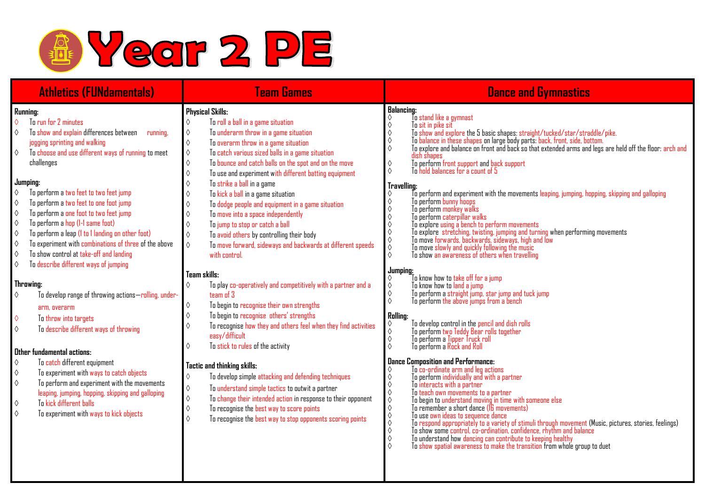

| <b>Athletics (FUNdamentals)</b>                                                                                                                                                                                                                                                                                                                                                                                                                                                                                                                                                                                                                                                                                                                                                                                                                                                                                                                                                                                                                                                                                                                                                                                                                                                   | <b>Team Games</b>                                                                                                                                                                                                                                                                                                                                                                                                                                                                                                                                                                                                                                                                                                                                                                                                                                                                                                                                                                                                                                                                                                                                                                                                                                                                                                                                                                                                                                                                                                                                   | <b>Dance and Gymnastics</b>                                                                                                                                                                                                                                                                                                                                                                                                                                                                                                                                                                                                                                                                                                                                                                                                                                                                                                                                                                                                                                                                                                                                                                                                                                                                                                                                                                                                                                                                                                                                                                                                                                                                                                                                                                                                                                                                                                                                                                                                                                                                                                                                                                                                                                                                                                                                                 |
|-----------------------------------------------------------------------------------------------------------------------------------------------------------------------------------------------------------------------------------------------------------------------------------------------------------------------------------------------------------------------------------------------------------------------------------------------------------------------------------------------------------------------------------------------------------------------------------------------------------------------------------------------------------------------------------------------------------------------------------------------------------------------------------------------------------------------------------------------------------------------------------------------------------------------------------------------------------------------------------------------------------------------------------------------------------------------------------------------------------------------------------------------------------------------------------------------------------------------------------------------------------------------------------|-----------------------------------------------------------------------------------------------------------------------------------------------------------------------------------------------------------------------------------------------------------------------------------------------------------------------------------------------------------------------------------------------------------------------------------------------------------------------------------------------------------------------------------------------------------------------------------------------------------------------------------------------------------------------------------------------------------------------------------------------------------------------------------------------------------------------------------------------------------------------------------------------------------------------------------------------------------------------------------------------------------------------------------------------------------------------------------------------------------------------------------------------------------------------------------------------------------------------------------------------------------------------------------------------------------------------------------------------------------------------------------------------------------------------------------------------------------------------------------------------------------------------------------------------------|-----------------------------------------------------------------------------------------------------------------------------------------------------------------------------------------------------------------------------------------------------------------------------------------------------------------------------------------------------------------------------------------------------------------------------------------------------------------------------------------------------------------------------------------------------------------------------------------------------------------------------------------------------------------------------------------------------------------------------------------------------------------------------------------------------------------------------------------------------------------------------------------------------------------------------------------------------------------------------------------------------------------------------------------------------------------------------------------------------------------------------------------------------------------------------------------------------------------------------------------------------------------------------------------------------------------------------------------------------------------------------------------------------------------------------------------------------------------------------------------------------------------------------------------------------------------------------------------------------------------------------------------------------------------------------------------------------------------------------------------------------------------------------------------------------------------------------------------------------------------------------------------------------------------------------------------------------------------------------------------------------------------------------------------------------------------------------------------------------------------------------------------------------------------------------------------------------------------------------------------------------------------------------------------------------------------------------------------------------------------------------|
| Running:<br>To run for 2 minutes<br>$\Diamond$<br>To show and explain differences between<br>$\Diamond$<br>running,<br>jogging sprinting and walking<br>To choose and use different ways of running to meet<br>$\Diamond$<br>challenges<br>Jumping:<br>$\Diamond$<br>To perform a two feet to two feet jump<br>To perform a two feet to one foot jump<br>0<br>To perform a one foot to two feet jump<br>$\Diamond$<br>To perform a hop (1-1 same foot)<br>$\Diamond$<br>$\Diamond$<br>To perform a leap (I to I landing on other foot)<br>To experiment with combinations of three of the above<br>$\Diamond$<br>To show control at take-off and landing<br>$\Diamond$<br>To describe different ways of jumping<br>♦<br>Throwing:<br>To develop range of throwing actions-rolling, under-<br>$\Diamond$<br>arm, overarm<br>$\Diamond$<br>To throw into targets<br>$\Diamond$<br>To describe different ways of throwing<br>Other fundamental actions:<br>$\Diamond$<br>To catch different equipment<br>$\Diamond$<br>To experiment with ways to catch objects<br>$\Diamond$<br>To perform and experiment with the movements<br>leaping, jumping, hopping, skipping and galloping<br>To kick different balls<br>$\Diamond$<br>$\Diamond$<br>To experiment with ways to kick objects | <b>Physical Skills:</b><br>To roll a ball in a game situation<br>♦<br>To underarm throw in a game situation<br>$\Diamond$<br>$\Diamond$<br>To overarm throw in a game situation<br>$\Diamond$<br>To catch various sized balls in a game situation<br>To bounce and catch balls on the spot and on the move<br>$\Diamond$<br>To use and experiment with different batting equipment<br>$\Diamond$<br>To strike a ball in a game<br>♦<br>To kick a ball in a game situation<br>♦<br>To dodge people and equipment in a game situation<br>♦<br>To move into a space independently<br>♦<br>To jump to stop or catch a ball<br>$\Diamond$<br>$\Diamond$<br>To avoid others by controlling their body<br>$\Diamond$<br>To move forward, sideways and backwards at different speeds<br>with control.<br>Team skills:<br>To play co-operatively and competitively with a partner and a<br>$\Diamond$<br>team of 3<br>To begin to recognise their own strengths<br>$\Diamond$<br>To begin to recognise others' strengths<br>$\Diamond$<br>To recognise how they and others feel when they find activities<br>♦<br>easy/difficult<br>To stick to rules of the activity<br>♦<br><b>Tactic and thinking skills:</b><br>To develop simple attacking and defending techniques<br>♦<br>To understand simple tactics to outwit a partner<br>♦<br>$\Diamond$<br>To change their intended action in response to their opponent<br>To recognise the best way to score points<br>$\Diamond$<br>To recognise the best way to stop opponents scoring points<br>$\Diamond$ | <b>Balancing:</b><br>To stand like a gymnast<br>♦<br>To sit in pike sit<br>To show and explore the 5 basic shapes: straight/tucked/star/straddle/pike.<br>♦<br>$\Diamond$<br>To balance in these shapes on large body parts: back, front, side, bottom.<br>To explore and balance on front and back so that extended arms and legs are held off the floor: arch and<br>$\Diamond$<br>dish shapes<br>To perform front support and back support<br>To hold balances for a count of 5<br>♦<br>$\Diamond$<br>Travelling:<br>To perform and experiment with the movements leaping, jumping, hopping, skipping and galloping<br>To perform bunny hoops<br>$\Diamond$<br>$\Diamond$<br>To perform monkey walks<br>$\Diamond$<br>To perform caterpillar walks<br>$\Diamond$<br>To explore using a bench to perform movements<br>To explore using a bench to perform movements<br>To explore stretching, twisting, jumping and turning when performing movements<br>To move forwards, backwards, sideways, high and low<br>$\Diamond$<br>♦<br>$\ddot{\Diamond}$<br>Jumping:<br>To know how to take off for a jump<br>$\Diamond$<br>To know how to land a jump<br>To perform a straight jump, star jump and tuck jump<br>To perform the above jumps from a bench<br>$\begin{array}{c}\Diamond \\ \Diamond\n\end{array}$<br><b>Rolling:</b><br>To develop control in the pencil and dish rolls<br>To perform two Teddy Bear rolls together<br>♦<br>$\Diamond$<br>To perform a Tipper Truck roll<br>$\Diamond$<br>To perform a Rock and Roll<br><b>Dance Composition and Performance:</b><br>To co-ordinate arm and leg actions<br>To perform individually and with a partner<br>$\Diamond$<br>To interacts with a partner<br>$\diamond \diamond$<br>To teach own movements to a partner<br>To teach own movements to a partner<br>To begin to understand moving in time with someone else<br>To remember a short dance (16 movements)<br>$\Diamond$ $\Diamond$<br>To use own ideas to sequence dance<br>$\Diamond$<br>To respond appropriately to a variety of stimuli through movement (Music, pictures, stories, feelings)<br>To show some control, co-ordination, confidence, rhythm and balance<br>$\circ$<br>$\Diamond$<br>To understand how dancing can contribute to keeping healthy<br>$\Diamond$<br>To show spatial awareness to make the transition from whole group to duet |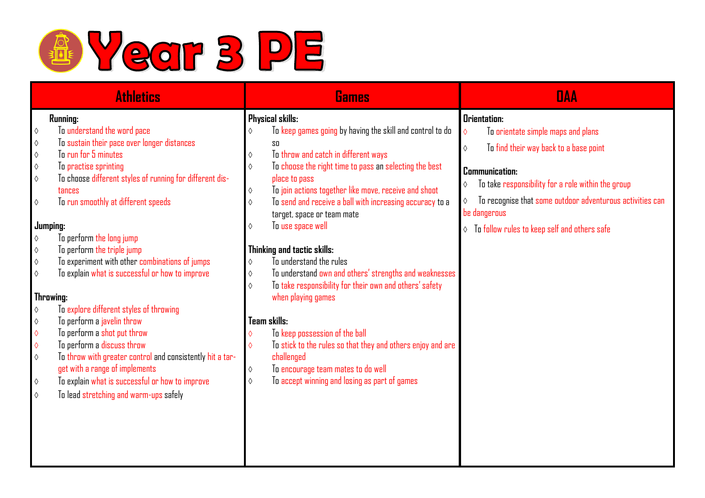

| <b>Athletics</b>         |                                                                       | Games            |                                                             |            | <b>DAA</b>                                                |  |
|--------------------------|-----------------------------------------------------------------------|------------------|-------------------------------------------------------------|------------|-----------------------------------------------------------|--|
| Running:                 |                                                                       | Physical skills: |                                                             |            | <b>Orientation:</b>                                       |  |
| $\Diamond$               | To understand the word pace                                           | $\Diamond$       | To keep games going by having the skill and control to do   | $\Diamond$ | To orientate simple maps and plans                        |  |
| $\Diamond$               | To sustain their pace over longer distances                           |                  | SO                                                          | $\Diamond$ | To find their way back to a base point                    |  |
| $\Diamond$               | To cun for 5 minutes                                                  | ♦                | To throw and catch in different ways                        |            |                                                           |  |
| $\Diamond$               | To practise sprinting                                                 | $\Diamond$       | To choose the right time to pass an selecting the best      |            | Communication:                                            |  |
| $\Diamond$               | To choose different styles of running for different dis-              |                  | place to pass                                               | ♦          | To take responsibility for a role within the group        |  |
|                          | tances                                                                | $\Diamond$       | To join actions together like move, receive and shoot       |            |                                                           |  |
| $\Diamond$               | To run smoothly at different speeds                                   | ♦                | To send and receive a ball with increasing accuracy to a    | $\Diamond$ | To recognise that some outdoor adventurous activities can |  |
|                          |                                                                       |                  | target, space or team mate                                  |            | be dangerous                                              |  |
|                          | Jumping:                                                              | ♦                | To use space well                                           |            | $\lozenge$ To follow rules to keep self and others safe   |  |
| $\Diamond$               | To perform the long jump                                              |                  |                                                             |            |                                                           |  |
| $\Diamond$               | To perform the triple jump                                            |                  | Thinking and tactic skills:                                 |            |                                                           |  |
| ♦                        | To experiment with other combinations of jumps                        | ♦                | To understand the rules                                     |            |                                                           |  |
| $\Diamond$               | To explain what is successful or how to improve                       | $\Diamond$       | To understand own and others' strengths and weaknesses      |            |                                                           |  |
|                          |                                                                       | $\Diamond$       | To take responsibility for their own and others' safety     |            |                                                           |  |
|                          | Throwing:                                                             |                  | when playing games                                          |            |                                                           |  |
| $\Diamond$               | To explore different styles of throwing<br>To perform a javelin throw |                  | Team skills:                                                |            |                                                           |  |
| $\Diamond$<br>$\Diamond$ | To perform a shot put throw                                           |                  | To keep possession of the ball                              |            |                                                           |  |
| $\Diamond$               | To perform a discuss throw                                            | $\Diamond$       | To stick to the rules so that they and others enjoy and are |            |                                                           |  |
| $\Diamond$               | To throw with greater control and consistently hit a tar-             |                  | challenged                                                  |            |                                                           |  |
|                          | get with a range of implements                                        | ♦                | To encourage team mates to do well                          |            |                                                           |  |
| $\Diamond$               | To explain what is successful or how to improve                       | ♦                | To accept winning and losing as part of games               |            |                                                           |  |
| $\Diamond$               | To lead stretching and warm-ups safely                                |                  |                                                             |            |                                                           |  |
|                          |                                                                       |                  |                                                             |            |                                                           |  |
|                          |                                                                       |                  |                                                             |            |                                                           |  |
|                          |                                                                       |                  |                                                             |            |                                                           |  |
|                          |                                                                       |                  |                                                             |            |                                                           |  |
|                          |                                                                       |                  |                                                             |            |                                                           |  |
|                          |                                                                       |                  |                                                             |            |                                                           |  |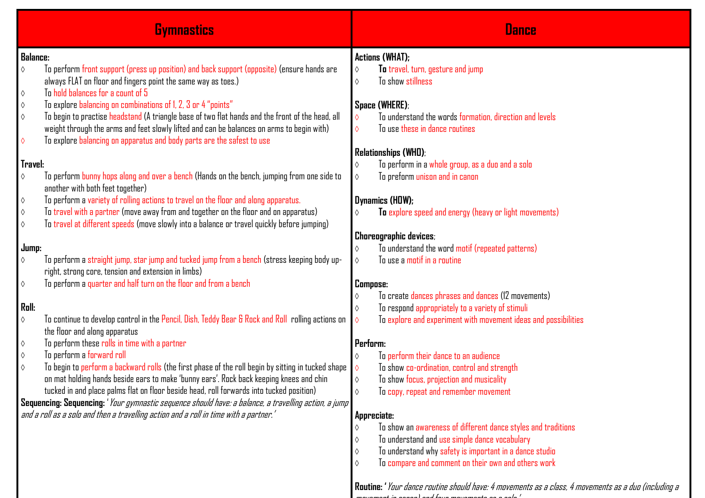|                 | <b>Gymnastics</b>                                                                                                                                                                             |                 | <b>Dance</b>                                                                      |
|-----------------|-----------------------------------------------------------------------------------------------------------------------------------------------------------------------------------------------|-----------------|-----------------------------------------------------------------------------------|
| <b>Balance:</b> |                                                                                                                                                                                               |                 | <b>Actions (WHAT);</b>                                                            |
| ♦               | To perform front support (press up position) and back support (opposite) (ensure hands are                                                                                                    | $\Diamond$      | To travel, turn, gesture and jump                                                 |
|                 | always FLAT on floor and fingers point the same way as toes.)                                                                                                                                 | $\Diamond$      | To show stillness                                                                 |
| ♦               | To hold balances for a count of 5                                                                                                                                                             |                 |                                                                                   |
| ♦               | To explore balancing on combinations of 1, 2, 3 or 4 "points"                                                                                                                                 |                 | Space (WHERE);<br>To understand the words formation, direction and levels         |
| $\Diamond$      | To begin to practise headstand (A triangle base of two flat hands and the front of the head, all<br>weight through the arms and feet slowly lifted and can be balances on arms to begin with) | ♦<br>$\Diamond$ | To use these in dance routines                                                    |
| ♦               | To explore balancing on apparatus and body parts are the safest to use                                                                                                                        |                 |                                                                                   |
|                 |                                                                                                                                                                                               |                 | <b>Relationships (WHD);</b>                                                       |
| Travel:         |                                                                                                                                                                                               | $\Diamond$      | To perform in a whole group, as a duo and a solo                                  |
| ♦               | To perform bunny hops along and over a bench (Hands on the bench, jumping from one side to                                                                                                    | $\Diamond$      | To preform unison and in canon                                                    |
|                 | another with both feet together)                                                                                                                                                              |                 |                                                                                   |
| ♦               | To perform a variety of rolling actions to travel on the floor and along apparatus.                                                                                                           |                 | Dynamics (HDW);                                                                   |
| ♦               | To travel with a partner (move away from and together on the floor and on apparatus)                                                                                                          | ♦               | To explore speed and energy (heavy or light movements)                            |
| ♦               | To travel at different speeds (move slowly into a balance or travel quickly before jumping)                                                                                                   |                 |                                                                                   |
| Jump:           |                                                                                                                                                                                               | ♦               | <b>Choreographic devices;</b><br>To understand the word motif (repeated patterns) |
| ♦               | To perform a straight jump, star jump and tucked jump from a bench (stress keeping body up-                                                                                                   | $\Diamond$      | To use a motif in a routine                                                       |
|                 | right, strong core, tension and extension in limbs)                                                                                                                                           |                 |                                                                                   |
| ♦               | To perform a quarter and half turn on the floor and from a bench                                                                                                                              | <b>Compose:</b> |                                                                                   |
|                 |                                                                                                                                                                                               | ♦               | To create dances phrases and dances (12 movements)                                |
| Roll:           |                                                                                                                                                                                               | $\Diamond$      | To respond appropriately to a variety of stimuli                                  |
| $\Diamond$      | To continue to develop control in the Pencil, Dish, Teddy Bear & Rock and Roll rolling actions on                                                                                             | $\Diamond$      | To explore and experiment with movement ideas and possibilities                   |
|                 | the floor and along apparatus<br>To perform these rolls in time with a partner                                                                                                                | Perform:        |                                                                                   |
| ♦<br>♦          | To perform a forward roll                                                                                                                                                                     | $\Diamond$      | To perform their dance to an audience                                             |
| ♦               | To begin to perform a backward rolls (the first phase of the roll begin by sitting in tucked shape                                                                                            | $\Diamond$      | To show co-ordination, control and strength                                       |
|                 | on mat holding hands beside ears to make 'bunny ears'. Rock back keeping knees and chin                                                                                                       |                 | To show focus, projection and musicality                                          |
|                 | tucked in and place palms flat on floor beside head, roll forwards into tucked position)                                                                                                      | $\Diamond$      | To copy, repeat and remember movement                                             |
|                 | Sequencing: Sequencing: 'Your gymnastic sequence should have: a balance, a travelling action, a jump                                                                                          |                 |                                                                                   |
|                 | and a roll as a solo and then a travelling action and a roll in time with a partner.'                                                                                                         |                 | Appreciate:                                                                       |
|                 |                                                                                                                                                                                               | ♦               | To show an awareness of different dance styles and traditions                     |
|                 |                                                                                                                                                                                               | $\Diamond$      | To understand and use simple dance vocabulary                                     |
|                 |                                                                                                                                                                                               | ♦               | To understand why safety is important in a dance studio                           |
|                 |                                                                                                                                                                                               | ♦               | To compare and comment on their own and others work                               |

**Routine: '**Your dance routine should have: 4 movements as a class, 4 movements as a duo (including a movement in canon) and four movements as a solo.'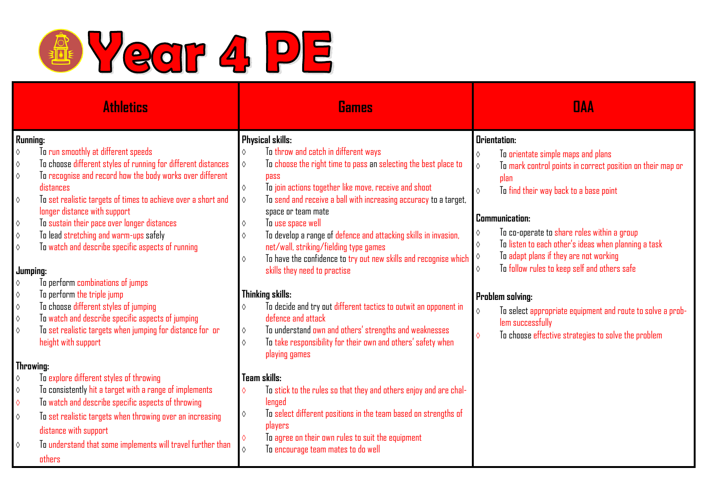

| <b>Athletics</b>              |                                                                                                                                                         |                          | <b>Games</b>                                                                                                                                                                             |                          | <b>DAA</b>                                                                                                                                    |  |
|-------------------------------|---------------------------------------------------------------------------------------------------------------------------------------------------------|--------------------------|------------------------------------------------------------------------------------------------------------------------------------------------------------------------------------------|--------------------------|-----------------------------------------------------------------------------------------------------------------------------------------------|--|
| Running:<br>$\Diamond$        | To run smoothly at different speeds<br>To choose different styles of running for different distances                                                    | $\Diamond$<br>$\Diamond$ | Physical skills:<br>To throw and catch in different ways<br>To choose the right time to pass an selecting the best place to                                                              | $\Diamond$               | <b>Orientation:</b><br>To orientate simple maps and plans                                                                                     |  |
| $\Diamond$<br>$\Diamond$      | To recognise and record how the body works over different<br>distances                                                                                  | $\Diamond$               | <b>pass</b><br>To join actions together like move, receive and shoot                                                                                                                     | $\Diamond$<br>$\Diamond$ | To mark control points in correct position on their map or<br>plan<br>To find their way back to a base point                                  |  |
| $\Diamond$<br>♦               | To set realistic targets of times to achieve over a short and<br>longer distance with support<br>To sustain their pace over longer distances            | $\Diamond$<br>$\Diamond$ | To send and receive a ball with increasing accuracy to a target,<br>space or team mate<br>To use space well                                                                              |                          | <b>Communication:</b>                                                                                                                         |  |
| $\Diamond$<br>♦               | To lead stretching and warm-ups safely<br>To watch and describe specific aspects of running                                                             | $\Diamond$<br>$\Diamond$ | To develop a range of defence and attacking skills in invasion,<br>net/wall, striking/fielding type games<br>To have the confidence to try out new skills and recognise which $\Diamond$ | ♦<br>$\Diamond$          | To co-operate to share roles within a group<br>To listen to each other's ideas when planning a task<br>To adapt plans if they are not working |  |
| Jumping:<br>♦                 | To perform combinations of jumps                                                                                                                        |                          | skills they need to practise                                                                                                                                                             | ♦                        | To follow rules to keep self and others safe                                                                                                  |  |
| $\Diamond$                    | To perform the triple jump                                                                                                                              |                          | Thinking skills:                                                                                                                                                                         |                          | Problem solving:                                                                                                                              |  |
| $\Diamond$<br>$\Diamond$<br>♦ | To choose different styles of jumping<br>To watch and describe specific aspects of jumping<br>To set realistic targets when jumping for distance for or | $\Diamond$<br>$\Diamond$ | To decide and try out different tactics to outwit an opponent in<br>defence and attack<br>To understand own and others' strengths and weaknesses                                         | ♦                        | To select appropriate equipment and route to solve a prob-<br>lem successfully<br>To choose effective strategies to solve the problem         |  |
|                               | height with support                                                                                                                                     | $\Diamond$               | To take responsibility for their own and others' safety when<br>playing games                                                                                                            | $\Diamond$               |                                                                                                                                               |  |
| Throwing:                     | To explore different styles of throwing                                                                                                                 |                          | Team skills:                                                                                                                                                                             |                          |                                                                                                                                               |  |
| $\Diamond$<br>$\Diamond$      | To consistently hit a target with a range of implements                                                                                                 | ♦                        | To stick to the rules so that they and others enjoy and are chal-                                                                                                                        |                          |                                                                                                                                               |  |
| $\Diamond$                    | To watch and describe specific aspects of throwing                                                                                                      |                          | lenged                                                                                                                                                                                   |                          |                                                                                                                                               |  |
| $\Diamond$                    | To set realistic targets when throwing over an increasing<br>distance with support                                                                      | $\Diamond$<br>$\Diamond$ | To select different positions in the team based on strengths of<br>players<br>To agree on their own rules to suit the equipment                                                          |                          |                                                                                                                                               |  |
| $\Diamond$                    | To understand that some implements will travel further than<br>others                                                                                   | $\Diamond$               | To encourage team mates to do well                                                                                                                                                       |                          |                                                                                                                                               |  |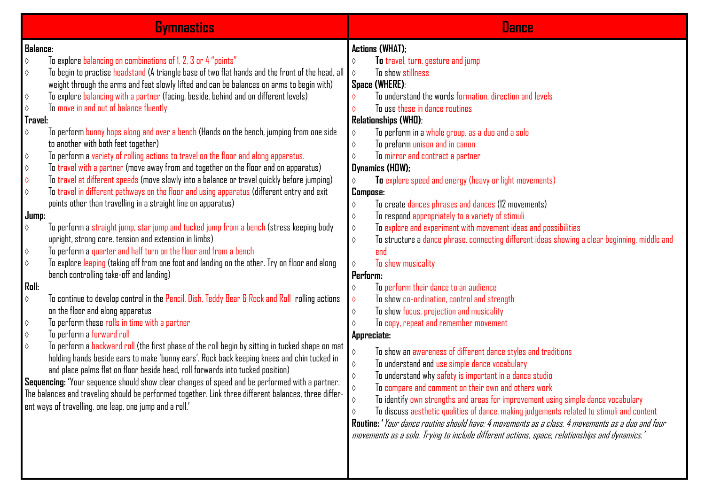| <b>Gymnastics</b>                                                                                                                                                                                                                                                                                                                                                                                                                                                                                                                                                                                                                                                                                                                                                                                                                                                                                                                                                                                                                                                                                                                                                                                                                                                                                                                                                                                                                                                                                                                                                                                                                                                                                                                                                                                                                                                                                                                                                                                                                                                                                                                                                                                                                                                                                                                                                          | <b>Dance</b>                                                                                                                                                                                                                                                                                                                                                                                                                                                                                                                                                                                                                                                                                                                                                                                                                                                                                                                                                                                                                                                                                                                                                                                                                                                                                                                                                                                                                                                                                                                                                                                                                                                                                                                                                                                                               |
|----------------------------------------------------------------------------------------------------------------------------------------------------------------------------------------------------------------------------------------------------------------------------------------------------------------------------------------------------------------------------------------------------------------------------------------------------------------------------------------------------------------------------------------------------------------------------------------------------------------------------------------------------------------------------------------------------------------------------------------------------------------------------------------------------------------------------------------------------------------------------------------------------------------------------------------------------------------------------------------------------------------------------------------------------------------------------------------------------------------------------------------------------------------------------------------------------------------------------------------------------------------------------------------------------------------------------------------------------------------------------------------------------------------------------------------------------------------------------------------------------------------------------------------------------------------------------------------------------------------------------------------------------------------------------------------------------------------------------------------------------------------------------------------------------------------------------------------------------------------------------------------------------------------------------------------------------------------------------------------------------------------------------------------------------------------------------------------------------------------------------------------------------------------------------------------------------------------------------------------------------------------------------------------------------------------------------------------------------------------------------|----------------------------------------------------------------------------------------------------------------------------------------------------------------------------------------------------------------------------------------------------------------------------------------------------------------------------------------------------------------------------------------------------------------------------------------------------------------------------------------------------------------------------------------------------------------------------------------------------------------------------------------------------------------------------------------------------------------------------------------------------------------------------------------------------------------------------------------------------------------------------------------------------------------------------------------------------------------------------------------------------------------------------------------------------------------------------------------------------------------------------------------------------------------------------------------------------------------------------------------------------------------------------------------------------------------------------------------------------------------------------------------------------------------------------------------------------------------------------------------------------------------------------------------------------------------------------------------------------------------------------------------------------------------------------------------------------------------------------------------------------------------------------------------------------------------------------|
| <b>Balance:</b><br>To explore balancing on combinations of 1, 2, 3 or 4 "points"<br>$\Diamond$<br>To begin to practise headstand (A triangle base of two flat hands and the front of the head, all<br>♦<br>weight through the arms and feet slowly lifted and can be balances on arms to begin with)<br>To explore balancing with a partner (facing, beside, behind and on different levels)<br>$\Diamond$<br>To move in and out of balance fluently<br>♦<br>Travel:<br>To perform bunny hops along and over a bench (Hands on the bench, jumping from one side<br>$\Diamond$<br>to another with both feet together)<br>To perform a variety of rolling actions to travel on the floor and along apparatus.<br>$\Diamond$<br>To travel with a partner (move away from and together on the floor and on apparatus)<br>♦<br>To travel at different speeds (move slowly into a balance or travel quickly before jumping)<br>♦<br>To travel in different pathways on the floor and using apparatus (different entry and exit<br>$\Diamond$<br>points other than travelling in a straight line on apparatus)<br>Jump:<br>To perform a straight jump, star jump and tucked jump from a bench (stress keeping body<br>♦<br>upright, strong core, tension and extension in limbs)<br>To perform a quarter and half turn on the floor and from a bench<br>$\Diamond$<br>To explore leaping (taking off from one foot and landing on the other. Try on floor and along<br>$\Diamond$<br>bench controlling take-off and landing)<br><b>Roll:</b><br>To continue to develop control in the Pencil, Dish, Teddy Bear & Rock and Roll rolling actions<br>$\Diamond$<br>on the floor and along apparatus<br>To perform these rolls in time with a partner<br>$\Diamond$<br>To perform a forward roll<br>$\Diamond$<br>To perform a backward roll (the first phase of the roll begin by sitting in tucked shape on mat<br>$\Diamond$<br>holding hands beside ears to make 'bunny ears'. Rock back keeping knees and chin tucked in<br>and place palms flat on floor beside head, roll forwards into tucked position)<br>Sequencing: 'Your sequence should show clear changes of speed and be performed with a partner.<br>The balances and traveling should be performed together. Link three different balances, three differ-<br>ent ways of travelling, one leap, one jump and a roll.' | <b>Actions (WHAT);</b><br>To travel, turn, gesture and jump<br>$\Diamond$<br>To show stillness<br>$\Diamond$<br>Space (WHERE);<br>To understand the words formation, direction and levels<br>To use these in dance routines<br>♦<br><b>Relationships (WHD);</b><br>To perform in a whole group, as a duo and a solo<br>$\Diamond$<br>To preform unison and in canon<br>$\Diamond$<br>To mirror and contract a partner<br>$\Diamond$<br>Dynamics (HDW);<br>To explore speed and energy (heavy or light movements)<br>♦<br><b>Compose:</b><br>To create dances phrases and dances (12 movements)<br>♦<br>To respond appropriately to a variety of stimuli<br>$\Diamond$<br>To explore and experiment with movement ideas and possibilities<br>$\Diamond$<br>To structure a dance phrase, connecting different ideas showing a clear beginning, middle and<br>♦<br>end<br>To show musicality<br>♦<br>Perform:<br>To perform their dance to an audience<br>♦<br>To show co-ordination, control and strength<br>♦<br>To show focus, projection and musicality<br>$\Diamond$<br>To copy, repeat and remember movement<br>$\Diamond$<br>Appreciate:<br>To show an awareness of different dance styles and traditions<br>♦<br>To understand and use simple dance vocabulary<br>$\Diamond$<br>To understand why safety is important in a dance studio<br>$\Diamond$<br>To compare and comment on their own and others work<br>To identify own strengths and areas for improvement using simple dance vocabulary<br>♦<br>To discuss aesthetic qualities of dance, making judgements related to stimuli and content<br>$\Diamond$<br>Routine: 'Your dance routine should have: 4 movements as a class, 4 movements as a duo and four<br>movements as a solo. Trying to include different actions, space, relationships and dynamics.' |
|                                                                                                                                                                                                                                                                                                                                                                                                                                                                                                                                                                                                                                                                                                                                                                                                                                                                                                                                                                                                                                                                                                                                                                                                                                                                                                                                                                                                                                                                                                                                                                                                                                                                                                                                                                                                                                                                                                                                                                                                                                                                                                                                                                                                                                                                                                                                                                            |                                                                                                                                                                                                                                                                                                                                                                                                                                                                                                                                                                                                                                                                                                                                                                                                                                                                                                                                                                                                                                                                                                                                                                                                                                                                                                                                                                                                                                                                                                                                                                                                                                                                                                                                                                                                                            |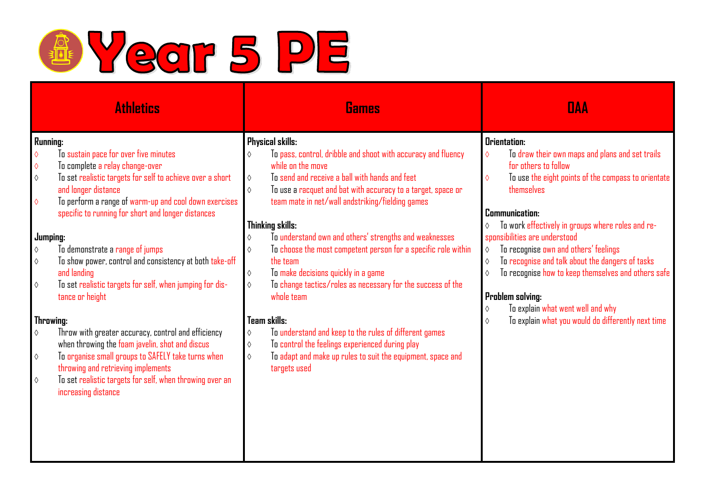

| <b>Athletics</b>                                                                                                          | Games                                                                        | <b>DAA</b>                                                    |
|---------------------------------------------------------------------------------------------------------------------------|------------------------------------------------------------------------------|---------------------------------------------------------------|
| Running:                                                                                                                  | <b>Physical skills:</b>                                                      | <b>Orientation:</b>                                           |
| To sustain pace for over five minutes<br>$\Diamond$                                                                       | To pass, control, dribble and shoot with accuracy and fluency<br>$\Diamond$  | To draw their own maps and plans and set trails<br>$\Diamond$ |
| To complete a relay change-over<br>$\Diamond$                                                                             | while on the move                                                            | for others to follow                                          |
| To set realistic targets for self to achieve over a short<br>$\Diamond$                                                   | To send and receive a ball with hands and feet<br>$\Diamond$                 | To use the eight points of the compass to orientate           |
| and longer distance                                                                                                       | $\Diamond$<br>To use a racquet and bat with accuracy to a target, space or   | themselves                                                    |
| To perform a range of warm-up and cool down exercises<br>$\Diamond$<br>specific to running for short and longer distances | team mate in net/wall andstriking/fielding games                             | Communication:                                                |
|                                                                                                                           | Thinking skills:                                                             | To work effectively in groups where roles and re-             |
| Jumping:                                                                                                                  | To understand own and others' strengths and weaknesses<br>$\Diamond$         | sponsibilities are understood                                 |
| To demonstrate a range of jumps<br>$\Diamond$                                                                             | To choose the most competent person for a specific role within<br>$\Diamond$ | To recognise own and others' feelings<br>♦                    |
| To show power, control and consistency at both take-off<br>$\Diamond$                                                     | the team                                                                     | To recognise and talk about the dangers of tasks<br>♦         |
| and landing                                                                                                               | To make decisions quickly in a game<br>$\Diamond$                            | To recognise how to keep themselves and others safe<br>♦      |
| To set realistic targets for self, when jumping for dis-<br>$\Diamond$                                                    | To change tactics/roles as necessary for the success of the<br>$\Diamond$    |                                                               |
| tance or height                                                                                                           | whole team                                                                   | <b>Problem solving:</b>                                       |
|                                                                                                                           |                                                                              | To explain what went well and why<br>♦                        |
| Throwing:                                                                                                                 | Team skills:                                                                 | To explain what you would do differently next time<br>♦       |
| Throw with greater accuracy, control and efficiency<br>$\Diamond$                                                         | To understand and keep to the rules of different games<br>$\Diamond$         |                                                               |
| when throwing the foam javelin, shot and discus                                                                           | To control the feelings experienced during play<br>$\Diamond$                |                                                               |
| To organise small groups to SAFELY take turns when<br>$\Diamond$                                                          | To adapt and make up rules to suit the equipment, space and<br>$\Diamond$    |                                                               |
| throwing and retrieving implements                                                                                        | targets used                                                                 |                                                               |
| To set realistic targets for self, when throwing over an<br>$\Diamond$                                                    |                                                                              |                                                               |
| increasing distance                                                                                                       |                                                                              |                                                               |
|                                                                                                                           |                                                                              |                                                               |
|                                                                                                                           |                                                                              |                                                               |
|                                                                                                                           |                                                                              |                                                               |
|                                                                                                                           |                                                                              |                                                               |
|                                                                                                                           |                                                                              |                                                               |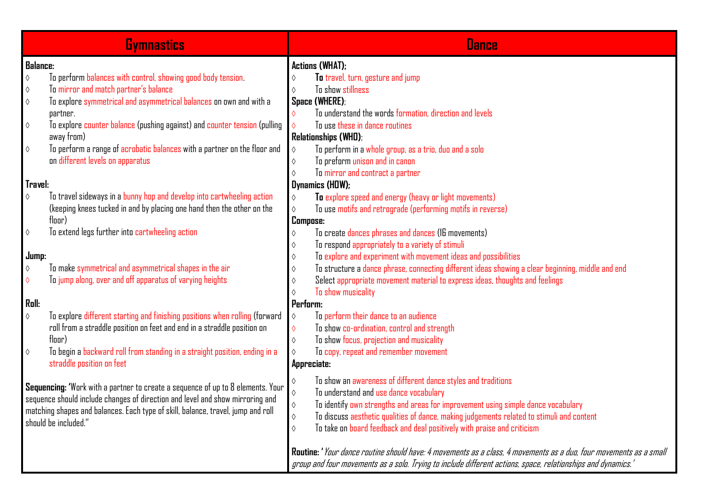|                                                  | <b>Gymnastics</b>                                                                                                                                                                                                                                                                                                                                              | <b>Dance</b>                                                                                                                                                                                                                                                                                                                                                                                                                                   |
|--------------------------------------------------|----------------------------------------------------------------------------------------------------------------------------------------------------------------------------------------------------------------------------------------------------------------------------------------------------------------------------------------------------------------|------------------------------------------------------------------------------------------------------------------------------------------------------------------------------------------------------------------------------------------------------------------------------------------------------------------------------------------------------------------------------------------------------------------------------------------------|
| <b>Balance:</b>                                  |                                                                                                                                                                                                                                                                                                                                                                | <b>Actions (WHAT);</b>                                                                                                                                                                                                                                                                                                                                                                                                                         |
| $\Diamond$<br>♦<br>♦<br>$\Diamond$<br>$\Diamond$ | To perform balances with control, showing good body tension.<br>To mirror and match partner's balance<br>To explore symmetrical and asymmetrical balances on own and with a<br>partner.<br>To explore counter balance (pushing against) and counter tension (pulling<br>away from)<br>To perform a range of acrobatic balances with a partner on the floor and | To travel, turn, gesture and jump<br>To show stillness<br>♦<br>Space (WHERE);<br>To understand the words formation, direction and levels<br>To use these in dance routines<br><b>Relationships (WHD):</b><br>To perform in a whole group, as a trio, duo and a solo<br>♦                                                                                                                                                                       |
| Travel:<br>$\Diamond$                            | on different levels on apparatus<br>To travel sideways in a bunny hop and develop into cartwheeling action<br>(keeping knees tucked in and by placing one hand then the other on the                                                                                                                                                                           | To preform unison and in canon<br>♦<br>To mirror and contract a partner<br>♦<br>Dynamics (HDW);<br>To explore speed and energy (heavy or light movements)<br>♦<br>To use motifs and retrograde (performing motifs in reverse)                                                                                                                                                                                                                  |
| ♦<br>Jump:<br>$\Diamond$<br>♦                    | floor)<br>To extend legs further into cartwheeling action<br>To make symmetrical and asymmetrical shapes in the air<br>To jump along, over and off apparatus of varying heights                                                                                                                                                                                | <b>Compose:</b><br>To create dances phrases and dances (16 movements)<br>$\Diamond$<br>To respond appropriately to a variety of stimuli<br>♦<br>To explore and experiment with movement ideas and possibilities<br>♦<br>To structure a dance phrase, connecting different ideas showing a clear beginning, middle and end<br>♦<br>Select appropriate movement material to express ideas, thoughts and feelings<br>♦<br>To show musicality<br>♦ |
| Roll:                                            |                                                                                                                                                                                                                                                                                                                                                                | Perform:                                                                                                                                                                                                                                                                                                                                                                                                                                       |
| $\Diamond$<br>$\Diamond$                         | To explore different starting and finishing positions when rolling (forward<br>roll from a straddle position on feet and end in a straddle position on<br>floor)<br>To begin a backward roll from standing in a straight position, ending in a<br>straddle position on feet                                                                                    | To perform their dance to an audience<br>$\Diamond$<br>To show co-ordination, control and strength<br>♦<br>To show focus, projection and musicality<br>♦<br>To copy, repeat and remember movement<br>♦<br>Appreciate:                                                                                                                                                                                                                          |
|                                                  | Sequencing: 'Work with a partner to create a sequence of up to 8 elements. Your<br>sequence should include changes of direction and level and show mirroring and<br>matching shapes and balances. Each type of skill, balance, travel, jump and roll<br>should be included."                                                                                   | To show an awareness of different dance styles and traditions<br>♦<br>To understand and use dance vocabulary<br>To identify own strengths and areas for improvement using simple dance vocabulary<br>♦<br>To discuss aesthetic qualities of dance, making judgements related to stimuli and content<br>♦<br>To take on board feedback and deal positively with praise and criticism<br>$\Diamond$                                              |
|                                                  |                                                                                                                                                                                                                                                                                                                                                                | Routine: 'Your dance routine should have: 4 movements as a class, 4 movements as a duo, four movements as a small<br>group and four movements as a solo. Trying to include different actions, space, relationships and dynamics."                                                                                                                                                                                                              |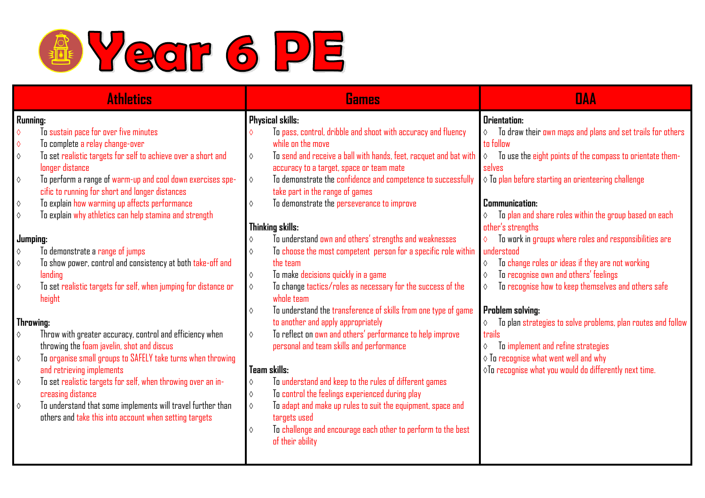

| <b>Athletics</b> |                                                                           |              | <b>Games</b>                                                                     | <b>DAA</b>                                                               |
|------------------|---------------------------------------------------------------------------|--------------|----------------------------------------------------------------------------------|--------------------------------------------------------------------------|
| Running:         |                                                                           |              | Physical skills:                                                                 | Orientation:                                                             |
| $\Diamond$       | To sustain pace for over five minutes                                     | $\Diamond$   | To pass, control, dribble and shoot with accuracy and fluency                    | To draw their own maps and plans and set trails for others<br>$\Diamond$ |
| $\Diamond$       | To complete a relay change-over                                           |              | while on the move                                                                | to follow                                                                |
| $\Diamond$       | To set realistic targets for self to achieve over a short and             | $\Diamond$   | To send and receive a ball with hands, feet, racquet and bat with                | To use the eight points of the compass to orientate them-<br>$\Diamond$  |
|                  | longer distance                                                           |              | accuracy to a target, space or team mate                                         | selves                                                                   |
| $\Diamond$       | To perform a range of warm-up and cool down exercises spe-                | $\Diamond$   | To demonstrate the confidence and competence to successfully                     | $\diamond$ To plan before starting an orienteering challenge             |
|                  | cific to running for short and longer distances                           |              | take part in the range of games                                                  |                                                                          |
| $\Diamond$       | To explain how warming up affects performance                             | $\Diamond$   | To demonstrate the perseverance to improve                                       | <b>Communication:</b>                                                    |
| $\Diamond$       | To explain why athletics can help stamina and strength                    |              |                                                                                  | To plan and share roles within the group based on each                   |
|                  |                                                                           |              | Thinking skills:                                                                 | other's strengths                                                        |
|                  | Jumping:                                                                  | $\Diamond$   | To understand own and others' strengths and weaknesses                           | To work in groups where roles and responsibilities are                   |
| $\Diamond$       | To demonstrate a range of jumps                                           | $\Diamond$   | To choose the most competent person for a specific role within                   | understood                                                               |
| $\Diamond$       | To show power, control and consistency at both take-off and               |              | the team                                                                         | To change roles or ideas if they are not working<br>$\Diamond$           |
|                  | landing                                                                   | $\Diamond$   | To make decisions quickly in a game                                              | To recognise own and others' feelings<br>$\Diamond$                      |
| $\Diamond$       | To set realistic targets for self, when jumping for distance or<br>height | $\Diamond$   | To change tactics/roles as necessary for the success of the<br>whole team        | To recognise how to keep themselves and others safe<br>♦                 |
|                  |                                                                           | $\Diamond$   | To understand the transference of skills from one type of game                   | <b>Problem solving:</b>                                                  |
|                  | Throwing:                                                                 |              | to another and apply appropriately                                               | To plan strategies to solve problems, plan routes and follow             |
| $\Diamond$       | Throw with greater accuracy, control and efficiency when                  | $\Diamond$   | To reflect on own and others' performance to help improve                        | trails                                                                   |
|                  | throwing the foam javelin, shot and discus                                |              | personal and team skills and performance                                         | To implement and refine strategies<br>$\Diamond$                         |
| $\Diamond$       | To organise small groups to SAFELY take turns when throwing               |              |                                                                                  | $\diamond$ To recognise what went well and why                           |
|                  | and retrieving implements                                                 | Team skills: |                                                                                  | $\Diamond$ To recognise what you would do differently next time.         |
| $\Diamond$       | To set realistic targets for self, when throwing over an in-              | $\Diamond$   | To understand and keep to the rules of different games                           |                                                                          |
|                  | creasing distance                                                         | $\Diamond$   | To control the feelings experienced during play                                  |                                                                          |
| $\Diamond$       | To understand that some implements will travel further than               | $\Diamond$   | To adapt and make up rules to suit the equipment, space and                      |                                                                          |
|                  | others and take this into account when setting targets                    |              | targets used                                                                     |                                                                          |
|                  |                                                                           | $\Diamond$   | To challenge and encourage each other to perform to the best<br>of their ability |                                                                          |
|                  |                                                                           |              |                                                                                  |                                                                          |